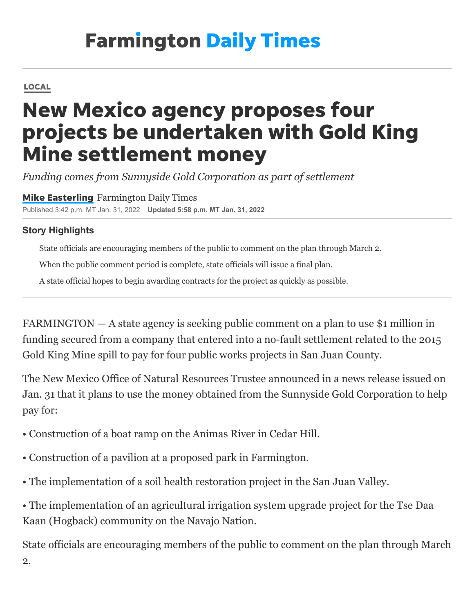## **Farmington Daily Times**

## [LOCAL](https://www.daily-times.com/news/san-juan-county/)

## New Mexico agency proposes four projects be undertaken with Gold King Mine settlement money

*Funding comes from Sunnyside Gold Corporation as part of settlement*

**Mike [Easterling](https://www.daily-times.com/staff/4406590002/mike-easterling/)** Farmington Daily Times Published 3:42 p.m. MT Jan. 31, 2022 **Updated 5:58 p.m. MT Jan. 31, 2022**

## **Story Highlights**

State officials are encouraging members of the public to comment on the plan through March 2.

When the public comment period is complete, state officials will issue a final plan.

A state official hopes to begin awarding contracts for the project as quickly as possible.

FARMINGTON — A state agency is seeking public comment on a plan to use \$1 million in funding secured from a company that entered into a no-fault settlement related to the 2015 Gold King Mine spill to pay for four public works projects in San Juan County.

The New Mexico Office of Natural Resources Trustee announced in a news release issued on Jan. 31 that it plans to use the money obtained from the Sunnyside Gold Corporation to help pay for:

- Construction of a boat ramp on the Animas River in Cedar Hill.
- Construction of a pavilion at a proposed park in Farmington.
- The implementation of a soil health restoration project in the San Juan Valley.

• The implementation of an agricultural irrigation system upgrade project for the Tse Daa Kaan (Hogback) community on the Navajo Nation.

State officials are encouraging members of the public to comment on the plan through March 2.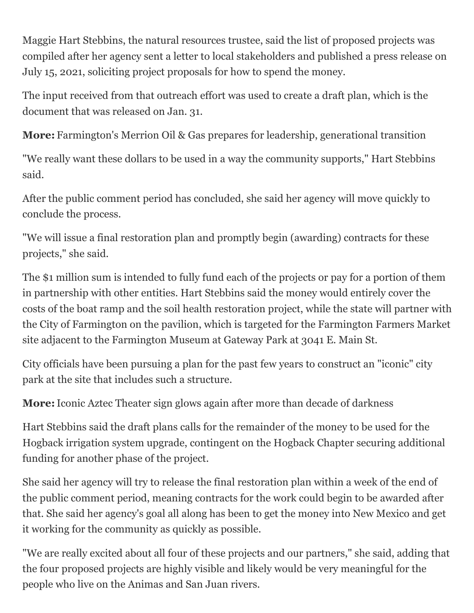Maggie Hart Stebbins, the natural resources trustee, said the list of proposed projects was compiled after her agency sent a letter to local stakeholders and published a press release on July 15, 2021, soliciting project proposals for how to spend the money.

The input received from that outreach effort was used to create a draft plan, which is the document that was released on Jan. 31.

**More:** [Farmington's Merrion Oil & Gas prepares for leadership, generational transition](https://www.daily-times.com/story/news/local/2022/01/30/farmington-merrion-oil-gas-president-t-greg-merrion-prepares-retirement/9264418002/)

"We really want these dollars to be used in a way the community supports," Hart Stebbins said.

After the public comment period has concluded, she said her agency will move quickly to conclude the process.

"We will issue a final restoration plan and promptly begin (awarding) contracts for these projects," she said.

The \$1 million sum is intended to fully fund each of the projects or pay for a portion of them in partnership with other entities. Hart Stebbins said the money would entirely cover the costs of the boat ramp and the soil health restoration project, while the state will partner with the City of Farmington on the pavilion, which is targeted for the Farmington Farmers Market site adjacent to the Farmington Museum at Gateway Park at 3041 E. Main St.

City officials have been pursuing a plan for the past few years to construct an "iconic" city park at the site that includes such a structure.

**More:**[Iconic Aztec Theater sign glows again after more than decade of darkness](https://www.daily-times.com/story/news/local/2022/01/26/aztec-city-nm-ceremony-marks-relighting-aztec-theater-sign/9229899002/)

Hart Stebbins said the draft plans calls for the remainder of the money to be used for the Hogback irrigation system upgrade, contingent on the Hogback Chapter securing additional funding for another phase of the project.

She said her agency will try to release the final restoration plan within a week of the end of the public comment period, meaning contracts for the work could begin to be awarded after that. She said her agency's goal all along has been to get the money into New Mexico and get it working for the community as quickly as possible.

"We are really excited about all four of these projects and our partners," she said, adding that the four proposed projects are highly visible and likely would be very meaningful for the people who live on the Animas and San Juan rivers.